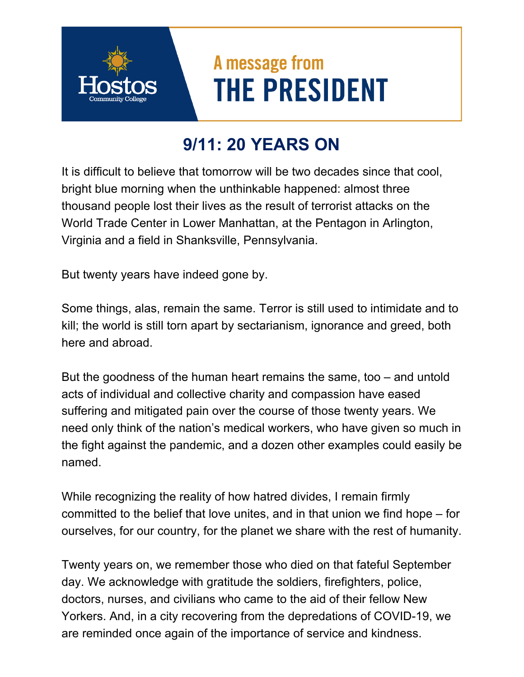## A message from **THE PRESIDENT**

## **9/11: 20 YEARS ON**

It is difficult to believe that tomorrow will be two decades since that cool, bright blue morning when the unthinkable happened: almost three thousand people lost their lives as the result of terrorist attacks on the World Trade Center in Lower Manhattan, at the Pentagon in Arlington, Virginia and a field in Shanksville, Pennsylvania.

But twenty years have indeed gone by.

Some things, alas, remain the same. Terror is still used to intimidate and to kill; the world is still torn apart by sectarianism, ignorance and greed, both here and abroad.

But the goodness of the human heart remains the same, too – and untold acts of individual and collective charity and compassion have eased suffering and mitigated pain over the course of those twenty years. We need only think of the nation's medical workers, who have given so much in the fight against the pandemic, and a dozen other examples could easily be named.

While recognizing the reality of how hatred divides, I remain firmly committed to the belief that love unites, and in that union we find hope – for ourselves, for our country, for the planet we share with the rest of humanity.

Twenty years on, we remember those who died on that fateful September day. We acknowledge with gratitude the soldiers, firefighters, police, doctors, nurses, and civilians who came to the aid of their fellow New Yorkers. And, in a city recovering from the depredations of COVID-19, we are reminded once again of the importance of service and kindness.